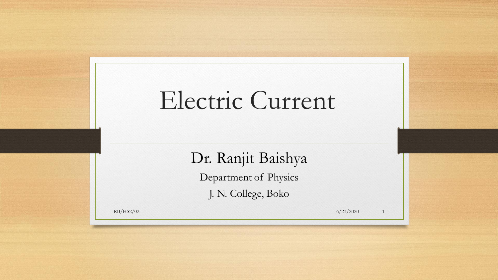# Electric Current

Dr. Ranjit Baishya

Department of Physics

J. N. College, Boko

 $RB/HS2/02$  6/23/2020 1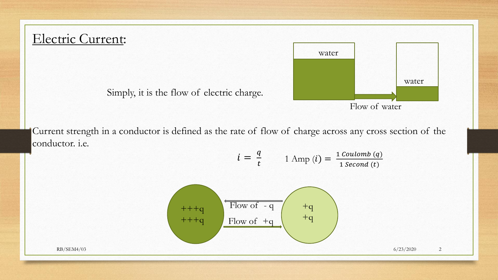# Electric Current:

Simply, it is the flow of electric charge.

Current strength in a conductor is defined as the rate of flow of charge across any cross section of the conductor. i.e.

$$
i = \frac{q}{t} \qquad \text{1 Amp (i)} = \frac{\text{1 Coulomb (q)}}{\text{1 Second (t)}}
$$



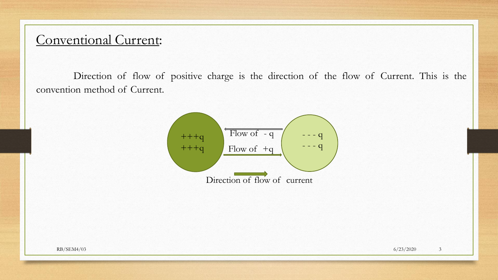## Conventional Current:

Direction of flow of positive charge is the direction of the flow of Current. This is the convention method of Current.

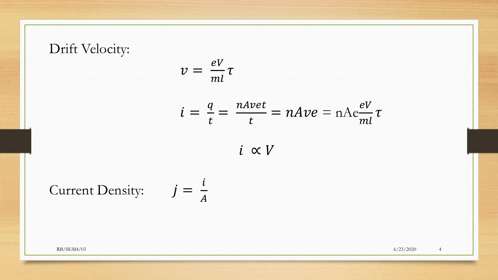# Drift Velocity:

$$
v=\frac{eV}{ml}\tau
$$

$$
i = \frac{q}{t} = \frac{nAvet}{t} = nAve = nAe\frac{eV}{ml}\tau
$$

 $i \propto V$ 

Current Density: 
$$
j = \frac{i}{A}
$$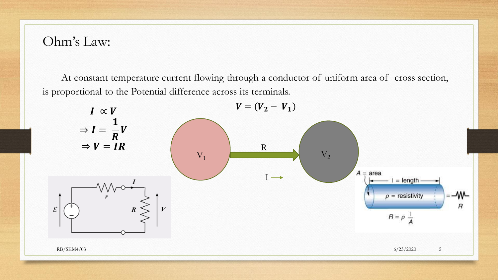#### Ohm's Law:

At constant temperature current flowing through a conductor of uniform area of cross section, is proportional to the Potential difference across its terminals.

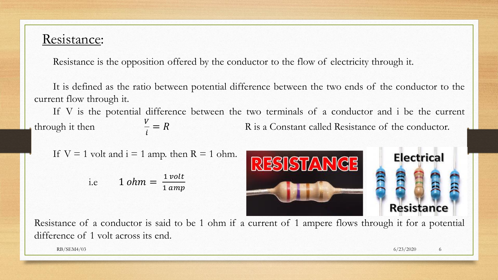### Resistance:

Resistance is the opposition offered by the conductor to the flow of electricity through it.

It is defined as the ratio between potential difference between the two ends of the conductor to the current flow through it.

If V is the potential difference between the two terminals of a conductor and i be the current through it then  $\frac{V}{i} = R$ R is a Constant called Resistance of the conductor.

If 
$$
V = 1
$$
 volt and  $i = 1$  amp. then  $R = 1$  ohm.

i.e 
$$
1 \text{ ohm} = \frac{1 \text{ volt}}{1 \text{ amp}}
$$



**Electrical Resistance** 

Resistance of a conductor is said to be 1 ohm if a current of 1 ampere flows through it for a potential difference of 1 volt across its end.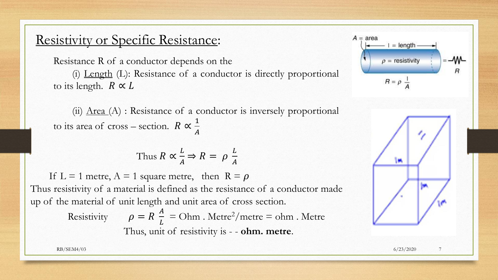# Resistivity or Specific Resistance:

Resistance R of a conductor depends on the (i) Length (L): Resistance of a conductor is directly proportional to its length.  $R \propto L$ 

(ii)  $Area(A)$ : Resistance of a conductor is inversely proportional to its area of cross – section.  $R \propto \frac{1}{4}$  $\overline{A}$ 

Thus 
$$
R \propto \frac{L}{A} \Rightarrow R = \rho \frac{L}{A}
$$

If L = 1 metre,  $A = 1$  square metre, then  $R = \rho$ Thus resistivity of a material is defined as the resistance of a conductor made up of the material of unit length and unit area of cross section.

> Resistivity  $\overline{A}$ L  $=$  Ohm . Metre<sup>2</sup>/metre  $=$  ohm . Metre Thus, unit of resistivity is - - **ohm. metre**.



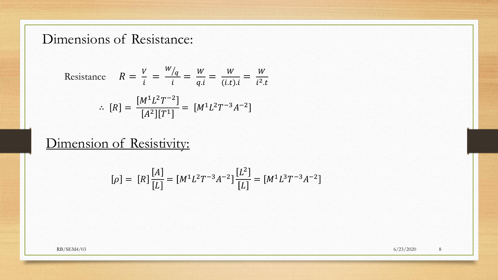# Dimensions of Resistance:

Resistance 
$$
R = \frac{V}{i} = \frac{W/q}{i} = \frac{W}{q.i} = \frac{W}{(i.t).i} = \frac{W}{i^2.t}
$$
  
\n
$$
\therefore [R] = \frac{[M^1 L^2 T^{-2}]}{[A^2][T^1]} = [M^1 L^2 T^{-3} A^{-2}]
$$

# Dimension of Resistivity:

$$
[\rho] = [R] \frac{[A]}{[L]} = [M^1 L^2 T^{-3} A^{-2}] \frac{[L^2]}{[L]} = [M^1 L^3 T^{-3} A^{-2}]
$$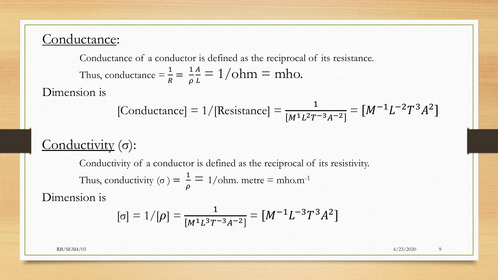# Conductance:

Conductance of a conductor is defined as the reciprocal of its resistance. Thus, conductance  $=\frac{1}{R}$  $\overline{R}$  $=\frac{1}{2}$  $\rho$  $\overline{A}$  $\frac{A}{L} = 1/ohm = mh$ o.

Dimension is

[Conductance] = 
$$
1/[\text{Resistance}] = \frac{1}{[M^1L^2T^{-3}A^{-2}]} = [M^{-1}L^{-2}T^3A^2]
$$

# Conductivity (σ):

Conductivity of a conductor is defined as the reciprocal of its resistivity. Thus, conductivity ( $\sigma$ ) =  $\frac{1}{2}$  $\frac{1}{\rho}$  = 1/ohm. metre = mho.m<sup>-1</sup>

Dimension is

$$
[\sigma] = 1/[\rho] = \frac{1}{[M^1 L^3 T^{-3} A^{-2}]} = [M^{-1} L^{-3} T^3 A^2]
$$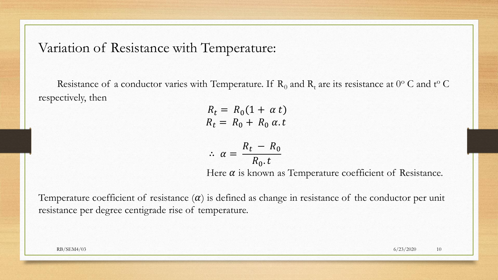#### Variation of Resistance with Temperature:

Resistance of a conductor varies with Temperature. If  $R_0$  and  $R_t$  are its resistance at  $0^{\circ}$  C and t<sup>o</sup> C respectively, then

> $R_t = R_0 (1 + \alpha t)$  $R_t = R_0 + R_0 \alpha t$

$$
\therefore \ \alpha = \frac{R_t - R_0}{R_0 \cdot t}
$$

Here  $\alpha$  is known as Temperature coefficient of Resistance.

Temperature coefficient of resistance  $(\alpha)$  is defined as change in resistance of the conductor per unit resistance per degree centigrade rise of temperature.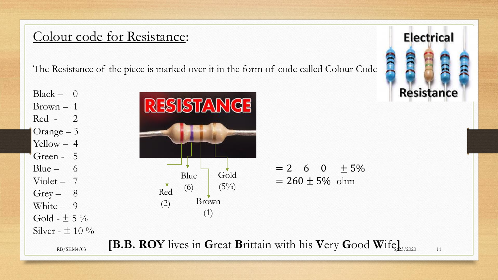## Colour code for Resistance:

The Resistance of the piece is marked over it in the form of code called Colour Code.

 $Black - 0$ Brown – 1 Red - 2 Orange – 3 Yellow – 4 Green - 5  $Grey - 8$ White – 9 Gold -  $\pm$  5 % Silver -  $\pm$  10 %





RB/SEM4/03 **[B.B. ROY** lives in Great Brittain with his Very Good Wife<sub> $\mathbf{k}_{3/2020}$  11</sub>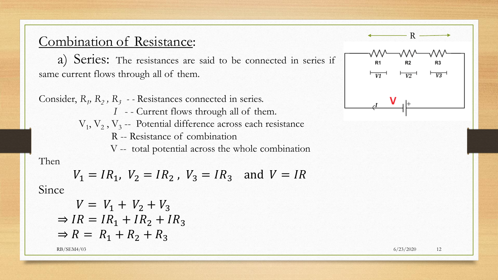### Combination of Resistance:

a) Series: The resistances are said to be connected in series if same current flows through all of them.

Consider,  $R_1$ ,  $R_2$ ,  $R_3$  - - Resistances connected in series. *I* - - Current flows through all of them.  $V_1, V_2, V_3$  -- Potential difference across each resistance R -- Resistance of combination V -- total potential across the whole combination Then

 $V_1 = IR_1$ ,  $V_2 = IR_2$ ,  $V_3 = IR_3$  and  $V = IR$ 

Since

$$
V = V_1 + V_2 + V_3
$$
  
\n
$$
\Rightarrow IR = IR_1 + IR_2 + IR_3
$$
  
\n
$$
\Rightarrow R = R_1 + R_2 + R_3
$$

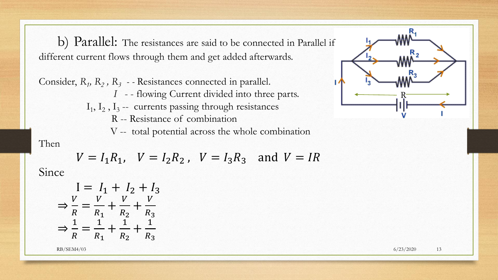b) Parallel: The resistances are said to be connected in Parallel if different current flows through them and get added afterwards.

Consider, *R<sup>1</sup> , R<sup>2</sup> , R<sup>3</sup> - -* Resistances connected in parallel. *I* - - flowing Current divided into three parts.  $I_1$ ,  $I_2$ ,  $I_3$  -- currents passing through resistances R -- Resistance of combination V -- total potential across the whole combination Then

Since

 $V = I_1 R_1$ ,  $V = I_2 R_2$ ,  $V = I_3 R_3$  and  $V = IR$ 

$$
I = I_1 + I_2 + I_3
$$
  
\n
$$
\Rightarrow \frac{V}{R} = \frac{V}{R_1} + \frac{V}{R_2} + \frac{V}{R_3}
$$
  
\n
$$
\Rightarrow \frac{1}{R} = \frac{1}{R_1} + \frac{1}{R_2} + \frac{1}{R_3}
$$

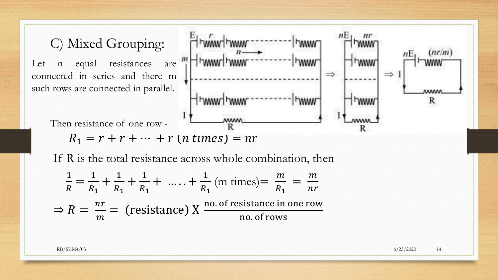

If R is the total resistance across whole combination, then

$$
\frac{1}{R} = \frac{1}{R_1} + \frac{1}{R_1} + \frac{1}{R_1} + \dots + \frac{1}{R_1} \text{ (m times)} = \frac{m}{R_1} = \frac{m}{nr}
$$
  
\n
$$
\Rightarrow R = \frac{nr}{m} = \text{ (resistance)} \times \frac{\text{no. of resistance in one row}}{\text{no. of rows}}
$$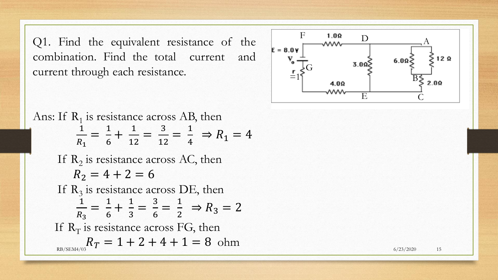Q 1 . Find the equivalent resistance of the combination . Find the total current and current through each resistance .



Find the equivalent resistance of the<br>
ination. Find the total current and<br>  $\frac{1}{\sqrt{2}}$   $\frac{1}{\sqrt{6}}$   $\frac{1}{\sqrt{6}}$   $\frac{1}{\sqrt{6}}$   $\frac{1}{\sqrt{6}}$   $\frac{1}{\sqrt{6}}$   $\frac{1}{\sqrt{6}}$   $\frac{1}{\sqrt{6}}$   $\frac{1}{\sqrt{6}}$   $\frac{1}{\sqrt{6}}$   $\frac{1}{\sqrt{6}}$   $\$ Ans: If  $R_1$  is resistance across AB, then 1 $R_1$ = 16  $+$ 1 12 = 3 12 = 14  $\Rightarrow R_1 = 4$ If  $R_2$  is resistance across AC, then  $R_2 = 4 + 2 = 6$ If  $R_3$  is resistance across DE, then  $\frac{1}{R_3}$ =  $\frac{1}{6}$  $+$  $\frac{1}{3}$ =  $\frac{3}{6}$ =  $\frac{1}{2}$  $\Rightarrow R_3 = 2$ If  $\rm R_T$  is resistance across FG, then  $R_T = 1 + 2 + 4 + 1 = 8$  ohm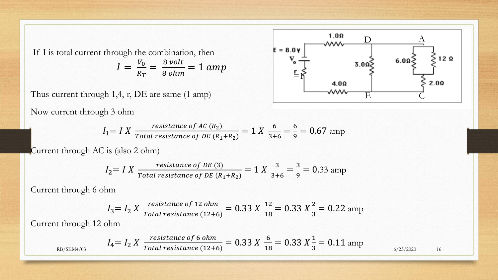If I is total current through the combination, then

$$
I = \frac{V_0}{R_T} = \frac{8 \text{ volt}}{8 \text{ ohm}} = 1 \text{ amp}
$$

Thus current through 1,4, r, DE are same (1 amp)

Now current through 3 ohm

$$
E = 8.0 \text{ y}
$$
\n
$$
V_0 = 3.00 \text{ y}
$$
\n
$$
= 1 \text{ y}
$$
\n
$$
= 4.00 \text{ y}
$$
\n
$$
= 4.00 \text{ y}
$$
\n
$$
= 4.00 \text{ y}
$$
\n
$$
= 4.00 \text{ y}
$$
\n
$$
= 4.00 \text{ y}
$$
\n
$$
= 4.00 \text{ y}
$$

$$
I_1 = I X \frac{resistance \ of \ AC (R_2)}{Total resistance \ of \ DE (R_1 + R_2)} = 1 X \frac{6}{3+6} = \frac{6}{9} = 0.67 \text{ amp}
$$

Current through AC is (also 2 ohm)

$$
I_2 = I X \frac{resistance \ of \ DE \ (3)}{Total \ resistance \ of \ DE \ (R_1 + R_2)} = 1 X \frac{3}{3+6} = \frac{3}{9} = 0.33 \text{ amp}
$$

Current through 6 ohm

$$
I_3 = I_2 X \frac{resistance\ of\ 12\ ohm}{Total\ resistance\ (12+6)} = 0.33 X \frac{12}{18} = 0.33 X \frac{2}{3} = 0.22 \text{ amp}
$$

Current through 12 ohm

$$
I_4 = I_2 X \frac{resistance\ of\ 6\ ohm}{Total\ resistance\ (12+6)}} = 0.33 X \frac{6}{18} = 0.33 X \frac{1}{3} = 0.11 \text{ amp}
$$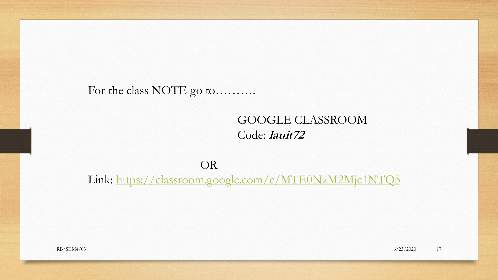#### For the class NOTE go to..........

### GOOGLE CLASSROOM Code: **lauit72**

#### OR

Link:<https://classroom.google.com/c/MTE0NzM2Mjc1NTQ5>